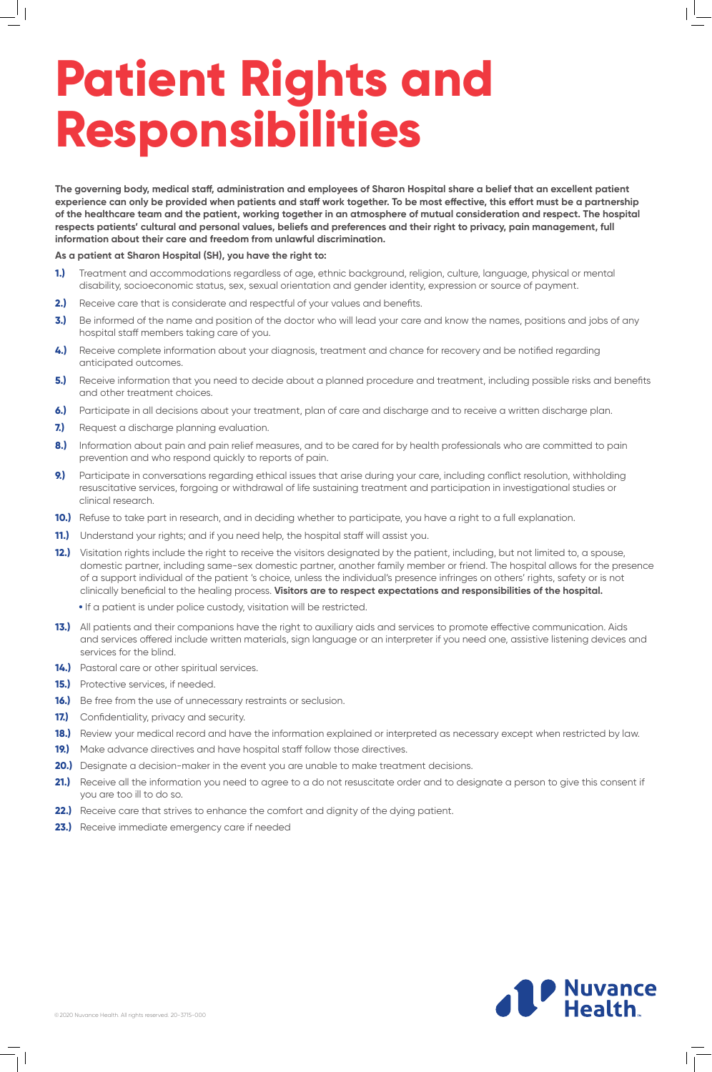©2020 Nuvance Health. All rights reserved. 20-3715-000

# **Patient Rights and Responsibilities**

**The governing body, medical staff, administration and employees of Sharon Hospital share a belief that an excellent patient experience can only be provided when patients and staff work together. To be most effective, this effort must be a partnership of the healthcare team and the patient, working together in an atmosphere of mutual consideration and respect. The hospital respects patients' cultural and personal values, beliefs and preferences and their right to privacy, pain management, full information about their care and freedom from unlawful discrimination.**

#### **As a patient at Sharon Hospital (SH), you have the right to:**

- **1.)** Treatment and accommodations regardless of age, ethnic background, religion, culture, language, physical or mental disability, socioeconomic status, sex, sexual orientation and gender identity, expression or source of payment.
- **2.)** Receive care that is considerate and respectful of your values and benefits.
- **3.)** Be informed of the name and position of the doctor who will lead your care and know the names, positions and jobs of any hospital staff members taking care of you.
- **4.)** Receive complete information about your diagnosis, treatment and chance for recovery and be notified regarding anticipated outcomes.
- **5.)** Receive information that you need to decide about a planned procedure and treatment, including possible risks and benefits and other treatment choices.
- **6.)** Participate in all decisions about your treatment, plan of care and discharge and to receive a written discharge plan.
- **7.)** Request a discharge planning evaluation.
- 8.) Information about pain and pain relief measures, and to be cared for by health professionals who are committed to pain prevention and who respond quickly to reports of pain.
- **9.)** Participate in conversations regarding ethical issues that arise during your care, including conflict resolution, withholding resuscitative services, forgoing or withdrawal of life sustaining treatment and participation in investigational studies or clinical research.
- **10.)** Refuse to take part in research, and in deciding whether to participate, you have a right to a full explanation.
- **11.)** Understand your rights; and if you need help, the hospital staff will assist you.
- **12.)** Visitation rights include the right to receive the visitors designated by the patient, including, but not limited to, a spouse, domestic partner, including same-sex domestic partner, another family member or friend. The hospital allows for the presence of a support individual of the patient 's choice, unless the individual's presence infringes on others' rights, safety or is not clinically beneficial to the healing process. **Visitors are to respect expectations and responsibilities of the hospital.**
	- **•** If a patient is under police custody, visitation will be restricted.
- **13.)** All patients and their companions have the right to auxiliary aids and services to promote effective communication. Aids and services offered include written materials, sign language or an interpreter if you need one, assistive listening devices and services for the blind.
- **14.)** Pastoral care or other spiritual services.
- **15.)** Protective services, if needed.
- **16.)** Be free from the use of unnecessary restraints or seclusion.
- **17.)** Confidentiality, privacy and security.
- **18.)** Review your medical record and have the information explained or interpreted as necessary except when restricted by law.
- **19.)** Make advance directives and have hospital staff follow those directives.
- 
- **20.)** Designate a decision-maker in the event you are unable to make treatment decisions.
- 21.) Receive all the information you need to agree to a do not resuscitate order and to designate a person to give this consent if you are too ill to do so.
- **22.)** Receive care that strives to enhance the comfort and dignity of the dying patient.
- **23.)** Receive immediate emergency care if needed